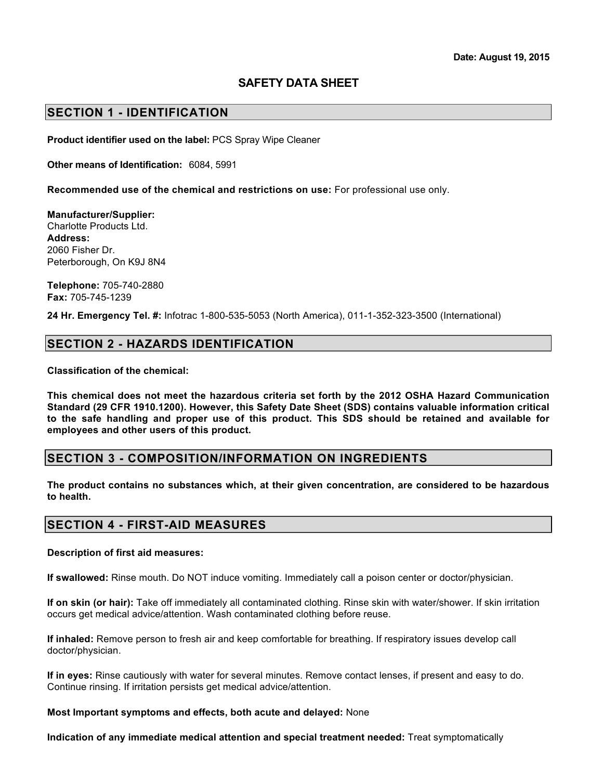# **SAFETY DATA SHEET**

## **SECTION 1 - IDENTIFICATION**

**Product identifier used on the label:** PCS Spray Wipe Cleaner

**Other means of Identification:** 6084, 5991

**Recommended use of the chemical and restrictions on use:** For professional use only.

**Manufacturer/Supplier:** Charlotte Products Ltd. **Address:** 2060 Fisher Dr. Peterborough, On K9J 8N4

**Telephone:** 705-740-2880 **Fax:** 705-745-1239

**24 Hr. Emergency Tel. #:** Infotrac 1-800-535-5053 (North America), 011-1-352-323-3500 (International)

## **SECTION 2 - HAZARDS IDENTIFICATION**

**Classification of the chemical:**

**This chemical does not meet the hazardous criteria set forth by the 2012 OSHA Hazard Communication Standard (29 CFR 1910.1200). However, this Safety Date Sheet (SDS) contains valuable information critical to the safe handling and proper use of this product. This SDS should be retained and available for employees and other users of this product.**

#### **SECTION 3 - COMPOSITION/INFORMATION ON INGREDIENTS**

**The product contains no substances which, at their given concentration, are considered to be hazardous to health.** 

### **SECTION 4 - FIRST-AID MEASURES**

#### **Description of first aid measures:**

**If swallowed:** Rinse mouth. Do NOT induce vomiting. Immediately call a poison center or doctor/physician.

**If on skin (or hair):** Take off immediately all contaminated clothing. Rinse skin with water/shower. If skin irritation occurs get medical advice/attention. Wash contaminated clothing before reuse.

**If inhaled:** Remove person to fresh air and keep comfortable for breathing. If respiratory issues develop call doctor/physician.

**If in eyes:** Rinse cautiously with water for several minutes. Remove contact lenses, if present and easy to do. Continue rinsing. If irritation persists get medical advice/attention.

**Most Important symptoms and effects, both acute and delayed:** None

**Indication of any immediate medical attention and special treatment needed:** Treat symptomatically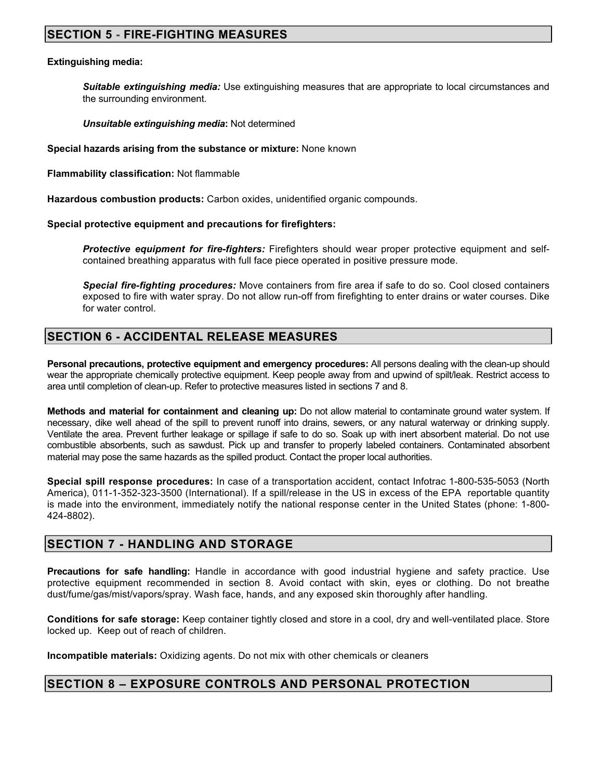# **SECTION 5 - FIRE-FIGHTING MEASURES**

#### **Extinguishing media:**

*Suitable extinguishing media:* Use extinguishing measures that are appropriate to local circumstances and the surrounding environment.

*Unsuitable extinguishing media***:** Not determined

**Special hazards arising from the substance or mixture:** None known

**Flammability classification:** Not flammable

**Hazardous combustion products:** Carbon oxides, unidentified organic compounds.

**Special protective equipment and precautions for firefighters:**

*Protective equipment for fire-fighters:* Firefighters should wear proper protective equipment and selfcontained breathing apparatus with full face piece operated in positive pressure mode.

*Special fire-fighting procedures:* Move containers from fire area if safe to do so. Cool closed containers exposed to fire with water spray. Do not allow run-off from firefighting to enter drains or water courses. Dike for water control.

## **SECTION 6 - ACCIDENTAL RELEASE MEASURES**

**Personal precautions, protective equipment and emergency procedures:** All persons dealing with the clean-up should wear the appropriate chemically protective equipment. Keep people away from and upwind of spilt/leak. Restrict access to area until completion of clean-up. Refer to protective measures listed in sections 7 and 8.

**Methods and material for containment and cleaning up:** Do not allow material to contaminate ground water system. If necessary, dike well ahead of the spill to prevent runoff into drains, sewers, or any natural waterway or drinking supply. Ventilate the area. Prevent further leakage or spillage if safe to do so. Soak up with inert absorbent material. Do not use combustible absorbents, such as sawdust. Pick up and transfer to properly labeled containers. Contaminated absorbent material may pose the same hazards as the spilled product. Contact the proper local authorities.

**Special spill response procedures:** In case of a transportation accident, contact Infotrac 1-800-535-5053 (North America), 011-1-352-323-3500 (International). If a spill/release in the US in excess of the EPA reportable quantity is made into the environment, immediately notify the national response center in the United States (phone: 1-800- 424-8802).

## **SECTION 7 - HANDLING AND STORAGE**

**Precautions for safe handling:** Handle in accordance with good industrial hygiene and safety practice. Use protective equipment recommended in section 8. Avoid contact with skin, eyes or clothing. Do not breathe dust/fume/gas/mist/vapors/spray. Wash face, hands, and any exposed skin thoroughly after handling.

**Conditions for safe storage:** Keep container tightly closed and store in a cool, dry and well-ventilated place. Store locked up. Keep out of reach of children.

**Incompatible materials:** Oxidizing agents. Do not mix with other chemicals or cleaners

#### **SECTION 8 – EXPOSURE CONTROLS AND PERSONAL PROTECTION**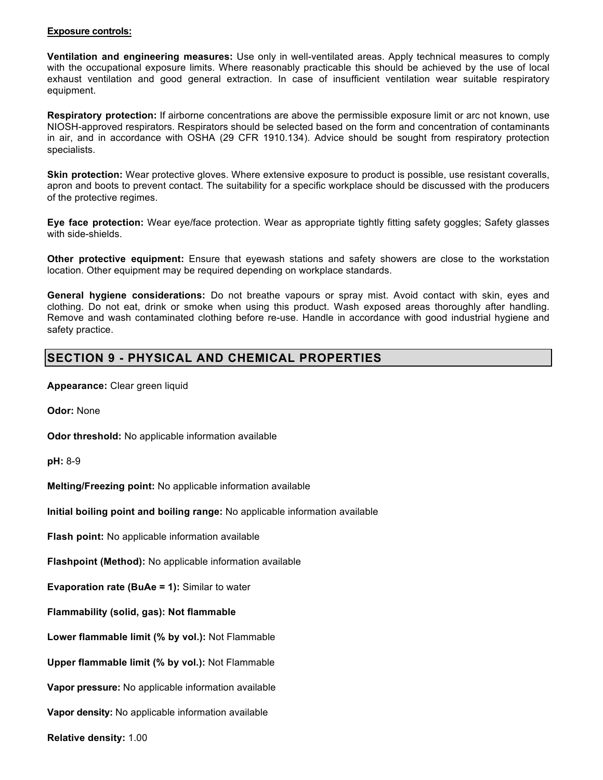#### **Exposure controls:**

**Ventilation and engineering measures:** Use only in well-ventilated areas. Apply technical measures to comply with the occupational exposure limits. Where reasonably practicable this should be achieved by the use of local exhaust ventilation and good general extraction. In case of insufficient ventilation wear suitable respiratory equipment.

**Respiratory protection:** If airborne concentrations are above the permissible exposure limit or arc not known, use NIOSH-approved respirators. Respirators should be selected based on the form and concentration of contaminants in air, and in accordance with OSHA (29 CFR 1910.134). Advice should be sought from respiratory protection specialists.

**Skin protection:** Wear protective gloves. Where extensive exposure to product is possible, use resistant coveralls, apron and boots to prevent contact. The suitability for a specific workplace should be discussed with the producers of the protective regimes.

**Eye face protection:** Wear eye/face protection. Wear as appropriate tightly fitting safety goggles; Safety glasses with side-shields.

**Other protective equipment:** Ensure that eyewash stations and safety showers are close to the workstation location. Other equipment may be required depending on workplace standards.

**General hygiene considerations:** Do not breathe vapours or spray mist. Avoid contact with skin, eyes and clothing. Do not eat, drink or smoke when using this product. Wash exposed areas thoroughly after handling. Remove and wash contaminated clothing before re-use. Handle in accordance with good industrial hygiene and safety practice.

# **SECTION 9 - PHYSICAL AND CHEMICAL PROPERTIES**

**Appearance:** Clear green liquid

**Odor:** None

**Odor threshold:** No applicable information available

**pH:** 8-9

**Melting/Freezing point:** No applicable information available

**Initial boiling point and boiling range:** No applicable information available

**Flash point:** No applicable information available

**Flashpoint (Method):** No applicable information available

**Evaporation rate (BuAe = 1):** Similar to water

**Flammability (solid, gas): Not flammable** 

**Lower flammable limit (% by vol.):** Not Flammable

**Upper flammable limit (% by vol.):** Not Flammable

**Vapor pressure:** No applicable information available

**Vapor density:** No applicable information available

**Relative density:** 1.00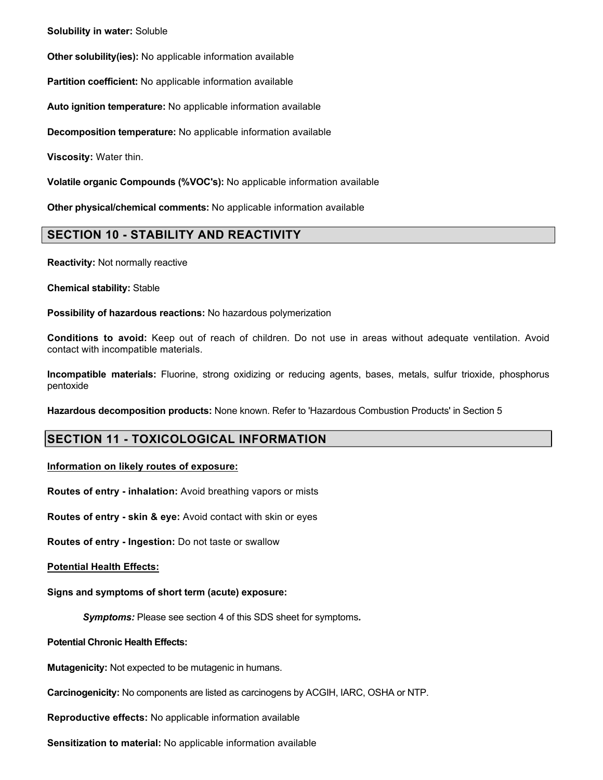**Solubility in water:** Soluble

**Other solubility(ies):** No applicable information available

**Partition coefficient:** No applicable information available

**Auto ignition temperature:** No applicable information available

**Decomposition temperature:** No applicable information available

**Viscosity:** Water thin.

**Volatile organic Compounds (%VOC's):** No applicable information available

**Other physical/chemical comments:** No applicable information available

## **SECTION 10 - STABILITY AND REACTIVITY**

**Reactivity:** Not normally reactive

**Chemical stability:** Stable

**Possibility of hazardous reactions:** No hazardous polymerization

**Conditions to avoid:** Keep out of reach of children. Do not use in areas without adequate ventilation. Avoid contact with incompatible materials.

**Incompatible materials:** Fluorine, strong oxidizing or reducing agents, bases, metals, sulfur trioxide, phosphorus pentoxide

**Hazardous decomposition products:** None known. Refer to 'Hazardous Combustion Products' in Section 5

## **SECTION 11 - TOXICOLOGICAL INFORMATION**

**Information on likely routes of exposure:**

**Routes of entry - inhalation:** Avoid breathing vapors or mists

**Routes of entry - skin & eye:** Avoid contact with skin or eyes

**Routes of entry - Ingestion:** Do not taste or swallow

**Potential Health Effects:**

**Signs and symptoms of short term (acute) exposure:**

*Symptoms:* Please see section 4 of this SDS sheet for symptoms*.*

**Potential Chronic Health Effects:**

**Mutagenicity:** Not expected to be mutagenic in humans.

**Carcinogenicity:** No components are listed as carcinogens by ACGIH, IARC, OSHA or NTP.

**Reproductive effects:** No applicable information available

**Sensitization to material:** No applicable information available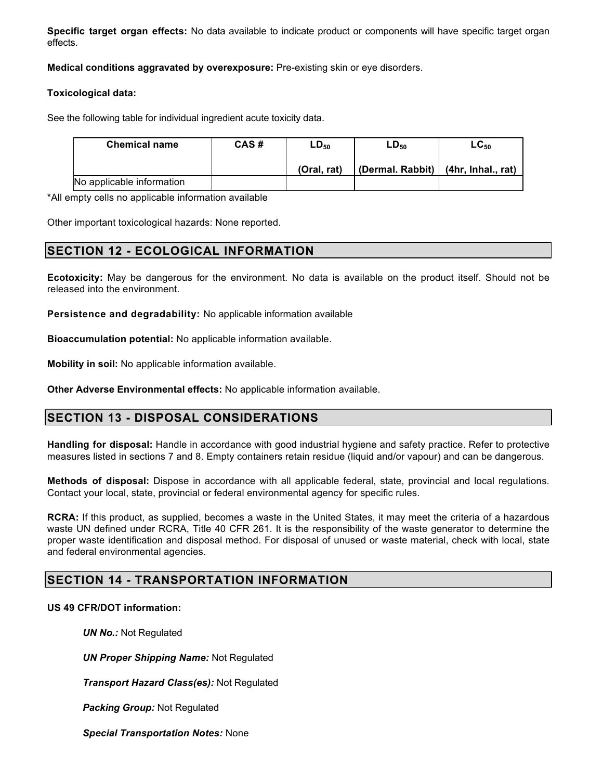**Specific target organ effects:** No data available to indicate product or components will have specific target organ effects.

**Medical conditions aggravated by overexposure:** Pre-existing skin or eye disorders.

#### Toxic **Toxicological data:**

See the following table for individual ingredient acute toxicity data.

| <b>Chemical name</b>      | CAS# | $LD_{50}$   | LD <sub>50</sub>                        | $\mathsf{LC}_{50}$ |
|---------------------------|------|-------------|-----------------------------------------|--------------------|
|                           |      | (Oral. rat) | (Dermal. Rabbit) $ $ (4hr, Inhal., rat) |                    |
| No applicable information |      |             |                                         |                    |

\*All empty cells no applicable information available

Other important toxicological hazards: None reported.

# **SECTION 12 - ECOLOGICAL INFORMATION**

**Ecotoxicity:** May be dangerous for the environment. No data is available on the product itself. Should not be released into the environment.

**Persistence and degradability:** No applicable information available

**Bioaccumulation potential:** No applicable information available.

**Mobility in soil:** No applicable information available.

**Other Adverse Environmental effects:** No applicable information available.

# **SECTION 13 - DISPOSAL CONSIDERATIONS**

**Handling for disposal:** Handle in accordance with good industrial hygiene and safety practice. Refer to protective measures listed in sections 7 and 8. Empty containers retain residue (liquid and/or vapour) and can be dangerous.

**Methods of disposal:** Dispose in accordance with all applicable federal, state, provincial and local regulations. Contact your local, state, provincial or federal environmental agency for specific rules.

**RCRA:** If this product, as supplied, becomes a waste in the United States, it may meet the criteria of a hazardous waste UN defined under RCRA, Title 40 CFR 261. It is the responsibility of the waste generator to determine the proper waste identification and disposal method. For disposal of unused or waste material, check with local, state and federal environmental agencies.

# **SECTION 14 - TRANSPORTATION INFORMATION**

### **US 49 CFR/DOT information:**

*UN No.:* Not Regulated

*UN Proper Shipping Name:* Not Regulated

*Transport Hazard Class(es):* Not Regulated

*Packing Group:* Not Regulated

*Special Transportation Notes:* None